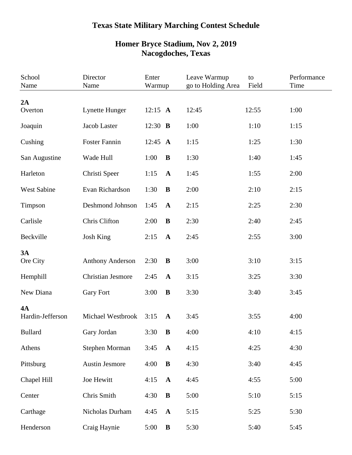## **Texas State Military Marching Contest Schedule**

| School<br>Name     | Director<br>Name         | Enter<br>Warmup |              | Leave Warmup<br>go to Holding Area | to<br>Field | Performance<br>Time |  |
|--------------------|--------------------------|-----------------|--------------|------------------------------------|-------------|---------------------|--|
| 2A                 |                          |                 |              |                                    |             |                     |  |
| Overton            | Lynette Hunger           | 12:15 $A$       |              | 12:45                              | 12:55       | 1:00                |  |
| Joaquin            | Jacob Laster             | 12:30 <b>B</b>  |              | 1:00                               | 1:10        | 1:15                |  |
| Cushing            | <b>Foster Fannin</b>     | 12:45 $\bf{A}$  |              | 1:15                               | 1:25        | 1:30                |  |
| San Augustine      | Wade Hull                | 1:00            | B            | 1:30                               | 1:40        | 1:45                |  |
| Harleton           | Christi Speer            | 1:15            | $\mathbf{A}$ | 1:45                               | 1:55        | 2:00                |  |
| <b>West Sabine</b> | Evan Richardson          | 1:30            | $\bf{B}$     | 2:00                               | 2:10        | 2:15                |  |
| Timpson            | Deshmond Johnson         | 1:45            | $\mathbf A$  | 2:15                               | 2:25        | 2:30                |  |
| Carlisle           | Chris Clifton            | 2:00            | B            | 2:30                               | 2:40        | 2:45                |  |
| Beckville          | <b>Josh King</b>         | 2:15            | $\mathbf A$  | 2:45                               | 2:55        | 3:00                |  |
| 3A<br>Ore City     | <b>Anthony Anderson</b>  | 2:30            | $\bf{B}$     | 3:00                               | 3:10        | 3:15                |  |
| Hemphill           | <b>Christian Jesmore</b> | 2:45            | $\mathbf{A}$ | 3:15                               | 3:25        | 3:30                |  |
| New Diana          | <b>Gary Fort</b>         | 3:00            | B            | 3:30                               | 3:40        | 3:45                |  |
| <b>4A</b>          |                          |                 |              |                                    |             |                     |  |
| Hardin-Jefferson   | Michael Westbrook        | 3:15            | $\mathbf A$  | 3:45                               | 3:55        | 4:00                |  |
| <b>Bullard</b>     | Gary Jordan              | 3:30            | $\bf{B}$     | 4:00                               | 4:10        | 4:15                |  |
| Athens             | <b>Stephen Morman</b>    | 3:45            | $\mathbf A$  | 4:15                               | 4:25        | 4:30                |  |
| Pittsburg          | <b>Austin Jesmore</b>    | 4:00            | $\bf{B}$     | 4:30                               | 3:40        | 4:45                |  |
| Chapel Hill        | Joe Hewitt               | 4:15            | $\mathbf A$  | 4:45                               | 4:55        | 5:00                |  |
| Center             | Chris Smith              | 4:30            | $\bf{B}$     | 5:00                               | 5:10        | 5:15                |  |
| Carthage           | Nicholas Durham          | 4:45            | $\mathbf A$  | 5:15                               | 5:25        | 5:30                |  |
| Henderson          | Craig Haynie             | 5:00            | ${\bf B}$    | 5:30                               | 5:40        | 5:45                |  |

## **Homer Bryce Stadium, Nov 2, 2019 Nacogdoches, Texas**